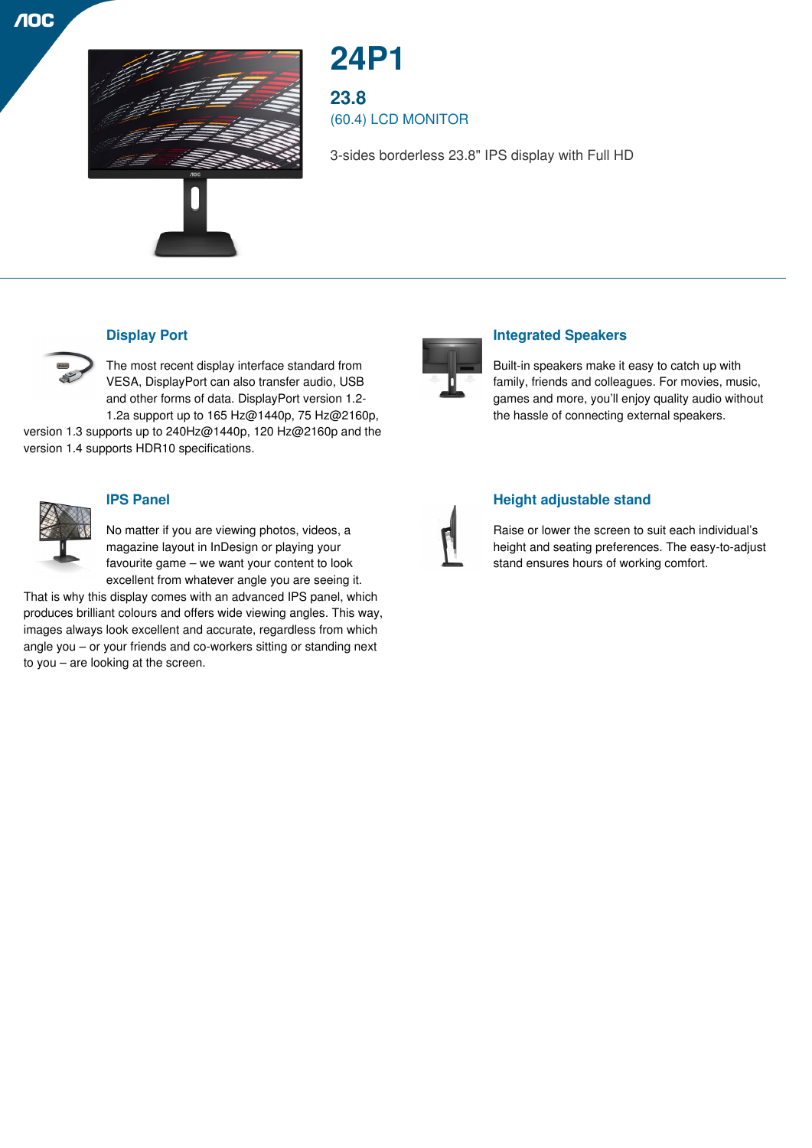



# **24P1**

**23.8** (60.4) LCD MONITOR

3-sides borderless 23.8" IPS display with Full HD



## **Display Port**

The most recent display interface standard from VESA, DisplayPort can also transfer audio, USB and other forms of data. DisplayPort version 1.2- 1.2a support up to 165 Hz@1440p, 75 Hz@2160p,

version 1.3 supports up to 240Hz@1440p, 120 Hz@2160p and the version 1.4 supports HDR10 specifications.



#### **IPS Panel**

No matter if you are viewing photos, videos, a magazine layout in InDesign or playing your favourite game – we want your content to look excellent from whatever angle you are seeing it.

That is why this display comes with an advanced IPS panel, which produces brilliant colours and offers wide viewing angles. This way, images always look excellent and accurate, regardless from which angle you – or your friends and co-workers sitting or standing next to you – are looking at the screen.



## **Integrated Speakers**

Built-in speakers make it easy to catch up with family, friends and colleagues. For movies, music, games and more, you'll enjoy quality audio without the hassle of connecting external speakers.



#### **Height adjustable stand**

Raise or lower the screen to suit each individual's height and seating preferences. The easy-to-adjust stand ensures hours of working comfort.